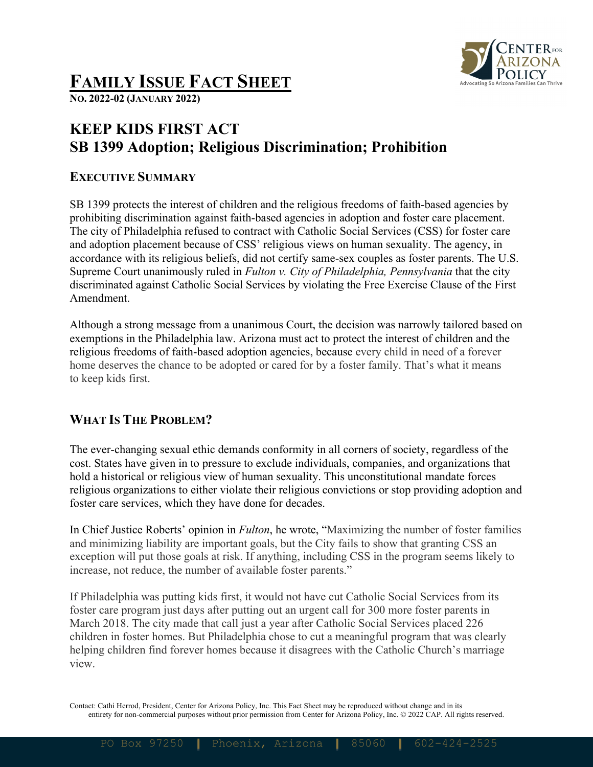

# **FAMILY ISSUE FACT SHEET**

**NO. 2022-02 (JANUARY 2022)**

## **KEEP KIDS FIRST ACT SB 1399 Adoption; Religious Discrimination; Prohibition**

#### **EXECUTIVE SUMMARY**

SB 1399 protects the interest of children and the religious freedoms of faith-based agencies by prohibiting discrimination against faith-based agencies in adoption and foster care placement. The city of Philadelphia refused to contract with Catholic Social Services (CSS) for foster care and adoption placement because of CSS' religious views on human sexuality. The agency, in accordance with its religious beliefs, did not certify same-sex couples as foster parents. The U.S. Supreme Court unanimously ruled in *Fulton v. City of Philadelphia, Pennsylvania* that the city discriminated against Catholic Social Services by violating the Free Exercise Clause of the First Amendment.

Although a strong message from a unanimous Court, the decision was narrowly tailored based on exemptions in the Philadelphia law. Arizona must act to protect the interest of children and the religious freedoms of faith-based adoption agencies, because every child in need of a forever home deserves the chance to be adopted or cared for by a foster family. That's what it means to keep kids first.

#### **WHAT IS THE PROBLEM?**

The ever-changing sexual ethic demands conformity in all corners of society, regardless of the cost. States have given in to pressure to exclude individuals, companies, and organizations that hold a historical or religious view of human sexuality. This unconstitutional mandate forces religious organizations to either violate their religious convictions or stop providing adoption and foster care services, which they have done for decades.

In Chief Justice Roberts' opinion in *Fulton*, he wrote, "Maximizing the number of foster families and minimizing liability are important goals, but the City fails to show that granting CSS an exception will put those goals at risk. If anything, including CSS in the program seems likely to increase, not reduce, the number of available foster parents."

If Philadelphia was putting kids first, it would not have cut Catholic Social Services from its foster care program just days after putting out an urgent call for 300 more foster parents in March 2018. The city made that call just a year after Catholic Social Services placed 226 children in foster homes. But Philadelphia chose to cut a meaningful program that was clearly helping children find forever homes because it disagrees with the Catholic Church's marriage view.

Contact: Cathi Herrod, President, Center for Arizona Policy, Inc. This Fact Sheet may be reproduced without change and in its entirety for non-commercial purposes without prior permission from Center for Arizona Policy, Inc. © 2022 CAP. All rights reserved.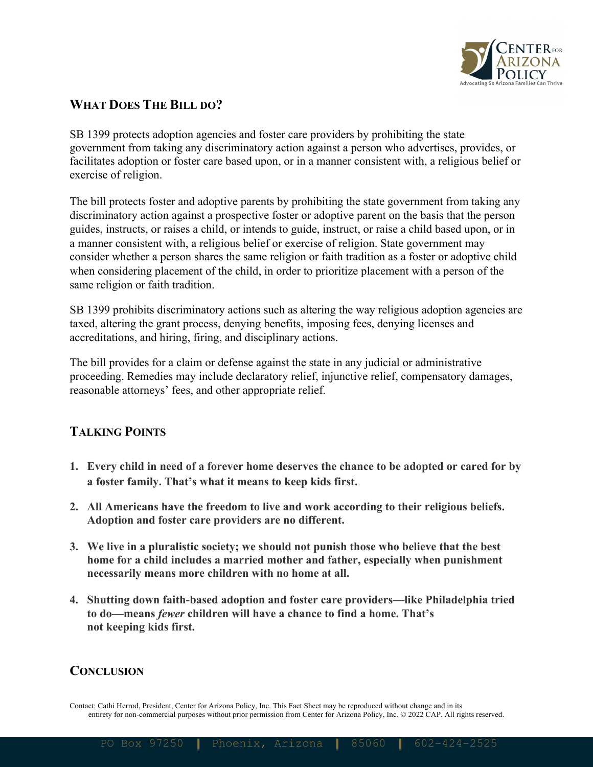

#### **WHAT DOES THE BILL DO?**

SB 1399 protects adoption agencies and foster care providers by prohibiting the state government from taking any discriminatory action against a person who advertises, provides, or facilitates adoption or foster care based upon, or in a manner consistent with, a religious belief or exercise of religion.

The bill protects foster and adoptive parents by prohibiting the state government from taking any discriminatory action against a prospective foster or adoptive parent on the basis that the person guides, instructs, or raises a child, or intends to guide, instruct, or raise a child based upon, or in a manner consistent with, a religious belief or exercise of religion. State government may consider whether a person shares the same religion or faith tradition as a foster or adoptive child when considering placement of the child, in order to prioritize placement with a person of the same religion or faith tradition.

SB 1399 prohibits discriminatory actions such as altering the way religious adoption agencies are taxed, altering the grant process, denying benefits, imposing fees, denying licenses and accreditations, and hiring, firing, and disciplinary actions.

The bill provides for a claim or defense against the state in any judicial or administrative proceeding. Remedies may include declaratory relief, injunctive relief, compensatory damages, reasonable attorneys' fees, and other appropriate relief.

### **TALKING POINTS**

- **1. Every child in need of a forever home deserves the chance to be adopted or cared for by a foster family. That's what it means to keep kids first.**
- **2. All Americans have the freedom to live and work according to their religious beliefs. Adoption and foster care providers are no different.**
- **3. We live in a pluralistic society; we should not punish those who believe that the best home for a child includes a married mother and father, especially when punishment necessarily means more children with no home at all.**
- **4. Shutting down faith-based adoption and foster care providers—like Philadelphia tried to do—means** *fewer* **children will have a chance to find a home. That's not keeping kids first.**

#### **CONCLUSION**

Contact: Cathi Herrod, President, Center for Arizona Policy, Inc. This Fact Sheet may be reproduced without change and in its entirety for non-commercial purposes without prior permission from Center for Arizona Policy, Inc. © 2022 CAP. All rights reserved.